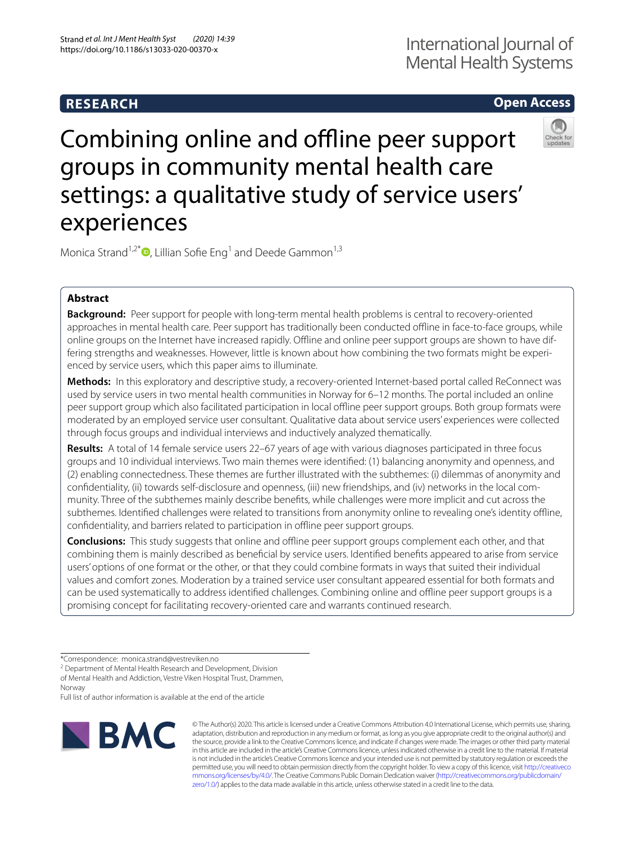# **RESEARCH**

# **Open Access**

# Combining online and offline peer support groups in community mental health care settings: a qualitative study of service users' experiences

Monica Strand<sup>1,2\*</sup> $\bullet$ [,](http://orcid.org/0000-0001-5376-3325) Lillian Sofie Eng<sup>1</sup> and Deede Gammon<sup>1,3</sup>

# **Abstract**

**Background:** Peer support for people with long-term mental health problems is central to recovery-oriented approaches in mental health care. Peer support has traditionally been conducted offline in face-to-face groups, while online groups on the Internet have increased rapidly. Ofine and online peer support groups are shown to have differing strengths and weaknesses. However, little is known about how combining the two formats might be experienced by service users, which this paper aims to illuminate.

**Methods:** In this exploratory and descriptive study, a recovery-oriented Internet-based portal called ReConnect was used by service users in two mental health communities in Norway for 6–12 months. The portal included an online peer support group which also facilitated participation in local ofine peer support groups. Both group formats were moderated by an employed service user consultant. Qualitative data about service users' experiences were collected through focus groups and individual interviews and inductively analyzed thematically.

**Results:** A total of 14 female service users 22–67 years of age with various diagnoses participated in three focus groups and 10 individual interviews. Two main themes were identifed: (1) balancing anonymity and openness, and (2) enabling connectedness. These themes are further illustrated with the subthemes: (i) dilemmas of anonymity and confdentiality, (ii) towards self-disclosure and openness, (iii) new friendships, and (iv) networks in the local community. Three of the subthemes mainly describe benefts, while challenges were more implicit and cut across the subthemes. Identifed challenges were related to transitions from anonymity online to revealing one's identity ofine, confidentiality, and barriers related to participation in offline peer support groups.

**Conclusions:** This study suggests that online and ofine peer support groups complement each other, and that combining them is mainly described as benefcial by service users. Identifed benefts appeared to arise from service users' options of one format or the other, or that they could combine formats in ways that suited their individual values and comfort zones. Moderation by a trained service user consultant appeared essential for both formats and can be used systematically to address identifed challenges. Combining online and ofine peer support groups is a promising concept for facilitating recovery-oriented care and warrants continued research.

Norway

Full list of author information is available at the end of the article



© The Author(s) 2020. This article is licensed under a Creative Commons Attribution 4.0 International License, which permits use, sharing, adaptation, distribution and reproduction in any medium or format, as long as you give appropriate credit to the original author(s) and the source, provide a link to the Creative Commons licence, and indicate if changes were made. The images or other third party material in this article are included in the article's Creative Commons licence, unless indicated otherwise in a credit line to the material. If material is not included in the article's Creative Commons licence and your intended use is not permitted by statutory regulation or exceeds the permitted use, you will need to obtain permission directly from the copyright holder. To view a copy of this licence, visit [http://creativeco](http://creativecommons.org/licenses/by/4.0/) [mmons.org/licenses/by/4.0/.](http://creativecommons.org/licenses/by/4.0/) The Creative Commons Public Domain Dedication waiver ([http://creativecommons.org/publicdomain/](http://creativecommons.org/publicdomain/zero/1.0/) [zero/1.0/\)](http://creativecommons.org/publicdomain/zero/1.0/) applies to the data made available in this article, unless otherwise stated in a credit line to the data.

<sup>\*</sup>Correspondence: monica.strand@vestreviken.no

<sup>&</sup>lt;sup>2</sup> Department of Mental Health Research and Development, Division of Mental Health and Addiction, Vestre Viken Hospital Trust, Drammen,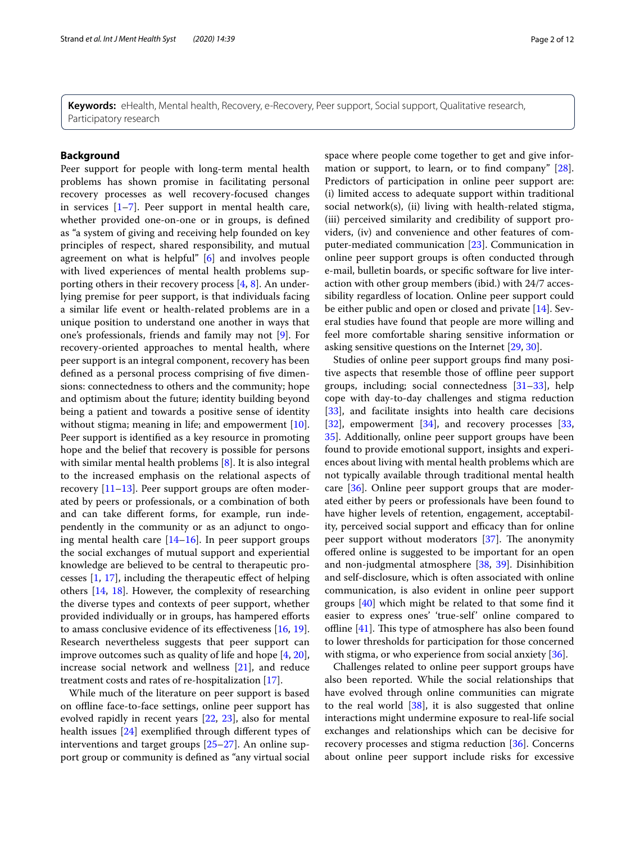**Keywords:** eHealth, Mental health, Recovery, e-Recovery, Peer support, Social support, Qualitative research, Participatory research

# **Background**

Peer support for people with long-term mental health problems has shown promise in facilitating personal recovery processes as well recovery-focused changes in services  $[1-7]$  $[1-7]$  $[1-7]$ . Peer support in mental health care, whether provided one-on-one or in groups, is defned as "a system of giving and receiving help founded on key principles of respect, shared responsibility, and mutual agreement on what is helpful" [[6\]](#page-10-2) and involves people with lived experiences of mental health problems supporting others in their recovery process [\[4](#page-10-3), [8\]](#page-10-4). An underlying premise for peer support, is that individuals facing a similar life event or health-related problems are in a unique position to understand one another in ways that one's professionals, friends and family may not [[9\]](#page-10-5). For recovery-oriented approaches to mental health, where peer support is an integral component, recovery has been defned as a personal process comprising of fve dimensions: connectedness to others and the community; hope and optimism about the future; identity building beyond being a patient and towards a positive sense of identity without stigma; meaning in life; and empowerment [\[10](#page-10-6)]. Peer support is identifed as a key resource in promoting hope and the belief that recovery is possible for persons with similar mental health problems [\[8](#page-10-4)]. It is also integral to the increased emphasis on the relational aspects of recovery  $[11-13]$  $[11-13]$ . Peer support groups are often moderated by peers or professionals, or a combination of both and can take diferent forms, for example, run independently in the community or as an adjunct to ongoing mental health care [\[14–](#page-10-9)[16\]](#page-10-10). In peer support groups the social exchanges of mutual support and experiential knowledge are believed to be central to therapeutic processes [[1,](#page-10-0) [17\]](#page-10-11), including the therapeutic efect of helping others [\[14](#page-10-9), [18\]](#page-10-12). However, the complexity of researching the diverse types and contexts of peer support, whether provided individually or in groups, has hampered eforts to amass conclusive evidence of its efectiveness [\[16](#page-10-10), [19](#page-10-13)]. Research nevertheless suggests that peer support can improve outcomes such as quality of life and hope [[4,](#page-10-3) [20](#page-10-14)], increase social network and wellness [\[21\]](#page-10-15), and reduce treatment costs and rates of re-hospitalization [\[17\]](#page-10-11).

While much of the literature on peer support is based on offline face-to-face settings, online peer support has evolved rapidly in recent years [\[22](#page-10-16), [23](#page-10-17)], also for mental health issues [\[24\]](#page-10-18) exemplifed through diferent types of interventions and target groups [\[25–](#page-10-19)[27\]](#page-10-20). An online support group or community is defned as "any virtual social space where people come together to get and give information or support, to learn, or to fnd company" [\[28](#page-10-21)]. Predictors of participation in online peer support are: (i) limited access to adequate support within traditional social network(s), (ii) living with health-related stigma, (iii) perceived similarity and credibility of support providers, (iv) and convenience and other features of computer-mediated communication [\[23\]](#page-10-17). Communication in online peer support groups is often conducted through e-mail, bulletin boards, or specifc software for live interaction with other group members (ibid.) with 24/7 accessibility regardless of location. Online peer support could be either public and open or closed and private [[14\]](#page-10-9). Several studies have found that people are more willing and feel more comfortable sharing sensitive information or asking sensitive questions on the Internet [\[29,](#page-10-22) [30](#page-10-23)].

Studies of online peer support groups fnd many positive aspects that resemble those of ofine peer support groups, including; social connectedness [\[31](#page-10-24)[–33](#page-10-25)], help cope with day-to-day challenges and stigma reduction [[33\]](#page-10-25), and facilitate insights into health care decisions [[32\]](#page-10-26), empowerment [[34\]](#page-11-0), and recovery processes [[33](#page-10-25), [35\]](#page-11-1). Additionally, online peer support groups have been found to provide emotional support, insights and experiences about living with mental health problems which are not typically available through traditional mental health care  $[36]$ . Online peer support groups that are moderated either by peers or professionals have been found to have higher levels of retention, engagement, acceptability, perceived social support and efficacy than for online peer support without moderators  $[37]$  $[37]$ . The anonymity ofered online is suggested to be important for an open and non-judgmental atmosphere [\[38](#page-11-4), [39](#page-11-5)]. Disinhibition and self-disclosure, which is often associated with online communication, is also evident in online peer support groups [\[40](#page-11-6)] which might be related to that some fnd it easier to express ones' 'true-self' online compared to offline  $[41]$  $[41]$ . This type of atmosphere has also been found to lower thresholds for participation for those concerned with stigma, or who experience from social anxiety [[36\]](#page-11-2).

Challenges related to online peer support groups have also been reported. While the social relationships that have evolved through online communities can migrate to the real world [\[38\]](#page-11-4), it is also suggested that online interactions might undermine exposure to real-life social exchanges and relationships which can be decisive for recovery processes and stigma reduction [[36\]](#page-11-2). Concerns about online peer support include risks for excessive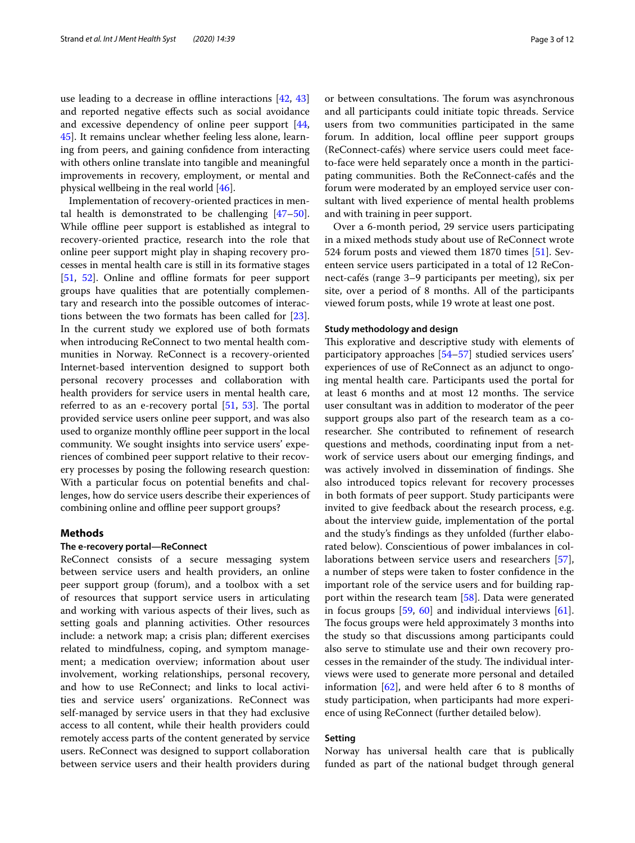use leading to a decrease in offline interactions  $[42, 43]$  $[42, 43]$  $[42, 43]$  $[42, 43]$  $[42, 43]$ and reported negative efects such as social avoidance and excessive dependency of online peer support [\[44](#page-11-10), [45\]](#page-11-11). It remains unclear whether feeling less alone, learning from peers, and gaining confdence from interacting with others online translate into tangible and meaningful improvements in recovery, employment, or mental and physical wellbeing in the real world [[46\]](#page-11-12).

Implementation of recovery-oriented practices in mental health is demonstrated to be challenging [[47](#page-11-13)[–50](#page-11-14)]. While offline peer support is established as integral to recovery-oriented practice, research into the role that online peer support might play in shaping recovery processes in mental health care is still in its formative stages [[51,](#page-11-15) [52\]](#page-11-16). Online and offline formats for peer support groups have qualities that are potentially complementary and research into the possible outcomes of interactions between the two formats has been called for [\[23](#page-10-17)]. In the current study we explored use of both formats when introducing ReConnect to two mental health communities in Norway. ReConnect is a recovery-oriented Internet-based intervention designed to support both personal recovery processes and collaboration with health providers for service users in mental health care, referred to as an e-recovery portal  $[51, 53]$  $[51, 53]$  $[51, 53]$  $[51, 53]$ . The portal provided service users online peer support, and was also used to organize monthly offline peer support in the local community. We sought insights into service users' experiences of combined peer support relative to their recovery processes by posing the following research question: With a particular focus on potential benefts and challenges, how do service users describe their experiences of combining online and offline peer support groups?

### **Methods**

### **The e‑recovery portal—ReConnect**

ReConnect consists of a secure messaging system between service users and health providers, an online peer support group (forum), and a toolbox with a set of resources that support service users in articulating and working with various aspects of their lives, such as setting goals and planning activities. Other resources include: a network map; a crisis plan; diferent exercises related to mindfulness, coping, and symptom management; a medication overview; information about user involvement, working relationships, personal recovery, and how to use ReConnect; and links to local activities and service users' organizations. ReConnect was self-managed by service users in that they had exclusive access to all content, while their health providers could remotely access parts of the content generated by service users. ReConnect was designed to support collaboration between service users and their health providers during or between consultations. The forum was asynchronous and all participants could initiate topic threads. Service users from two communities participated in the same forum. In addition, local offline peer support groups (ReConnect-cafés) where service users could meet faceto-face were held separately once a month in the participating communities. Both the ReConnect-cafés and the forum were moderated by an employed service user consultant with lived experience of mental health problems and with training in peer support.

Over a 6-month period, 29 service users participating in a mixed methods study about use of ReConnect wrote 524 forum posts and viewed them 1870 times [\[51\]](#page-11-15). Seventeen service users participated in a total of 12 ReConnect-cafés (range 3–9 participants per meeting), six per site, over a period of 8 months. All of the participants viewed forum posts, while 19 wrote at least one post.

#### **Study methodology and design**

This explorative and descriptive study with elements of participatory approaches [\[54](#page-11-18)–[57\]](#page-11-19) studied services users' experiences of use of ReConnect as an adjunct to ongoing mental health care. Participants used the portal for at least 6 months and at most 12 months. The service user consultant was in addition to moderator of the peer support groups also part of the research team as a coresearcher. She contributed to refnement of research questions and methods, coordinating input from a network of service users about our emerging fndings, and was actively involved in dissemination of fndings. She also introduced topics relevant for recovery processes in both formats of peer support. Study participants were invited to give feedback about the research process, e.g. about the interview guide, implementation of the portal and the study's fndings as they unfolded (further elaborated below). Conscientious of power imbalances in collaborations between service users and researchers [\[57](#page-11-19)], a number of steps were taken to foster confdence in the important role of the service users and for building rapport within the research team [\[58\]](#page-11-20). Data were generated in focus groups [\[59](#page-11-21), [60](#page-11-22)] and individual interviews [\[61](#page-11-23)]. The focus groups were held approximately 3 months into the study so that discussions among participants could also serve to stimulate use and their own recovery processes in the remainder of the study. The individual interviews were used to generate more personal and detailed information  $[62]$  $[62]$ , and were held after 6 to 8 months of study participation, when participants had more experience of using ReConnect (further detailed below).

## **Setting**

Norway has universal health care that is publically funded as part of the national budget through general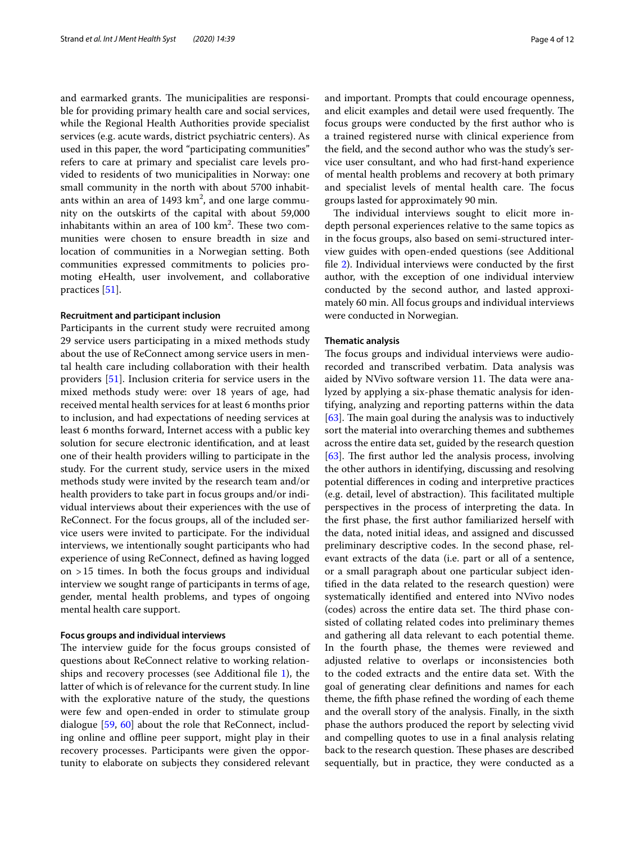and earmarked grants. The municipalities are responsible for providing primary health care and social services, while the Regional Health Authorities provide specialist services (e.g. acute wards, district psychiatric centers). As used in this paper, the word "participating communities" refers to care at primary and specialist care levels provided to residents of two municipalities in Norway: one small community in the north with about 5700 inhabitants within an area of 1493  $\text{km}^2$ , and one large community on the outskirts of the capital with about 59,000 inhabitants within an area of  $100 \text{ km}^2$ . These two communities were chosen to ensure breadth in size and location of communities in a Norwegian setting. Both communities expressed commitments to policies promoting eHealth, user involvement, and collaborative practices [[51\]](#page-11-15).

#### **Recruitment and participant inclusion**

Participants in the current study were recruited among 29 service users participating in a mixed methods study about the use of ReConnect among service users in mental health care including collaboration with their health providers [[51\]](#page-11-15). Inclusion criteria for service users in the mixed methods study were: over 18 years of age, had received mental health services for at least 6 months prior to inclusion, and had expectations of needing services at least 6 months forward, Internet access with a public key solution for secure electronic identifcation, and at least one of their health providers willing to participate in the study. For the current study, service users in the mixed methods study were invited by the research team and/or health providers to take part in focus groups and/or individual interviews about their experiences with the use of ReConnect. For the focus groups, all of the included service users were invited to participate. For the individual interviews, we intentionally sought participants who had experience of using ReConnect, defned as having logged on >15 times. In both the focus groups and individual interview we sought range of participants in terms of age, gender, mental health problems, and types of ongoing mental health care support.

#### **Focus groups and individual interviews**

The interview guide for the focus groups consisted of questions about ReConnect relative to working relationships and recovery processes (see Additional fle [1\)](#page-9-0), the latter of which is of relevance for the current study. In line with the explorative nature of the study, the questions were few and open-ended in order to stimulate group dialogue [[59,](#page-11-21) [60\]](#page-11-22) about the role that ReConnect, including online and offline peer support, might play in their recovery processes. Participants were given the opportunity to elaborate on subjects they considered relevant and important. Prompts that could encourage openness, and elicit examples and detail were used frequently. The focus groups were conducted by the frst author who is a trained registered nurse with clinical experience from the feld, and the second author who was the study's service user consultant, and who had frst-hand experience of mental health problems and recovery at both primary and specialist levels of mental health care. The focus groups lasted for approximately 90 min.

The individual interviews sought to elicit more indepth personal experiences relative to the same topics as in the focus groups, also based on semi-structured interview guides with open-ended questions (see Additional fle [2](#page-9-1)). Individual interviews were conducted by the frst author, with the exception of one individual interview conducted by the second author, and lasted approximately 60 min. All focus groups and individual interviews were conducted in Norwegian.

#### **Thematic analysis**

The focus groups and individual interviews were audiorecorded and transcribed verbatim. Data analysis was aided by NVivo software version 11. The data were analyzed by applying a six-phase thematic analysis for identifying, analyzing and reporting patterns within the data  $[63]$  $[63]$ . The main goal during the analysis was to inductively sort the material into overarching themes and subthemes across the entire data set, guided by the research question [[63\]](#page-11-25). The first author led the analysis process, involving the other authors in identifying, discussing and resolving potential diferences in coding and interpretive practices (e.g. detail, level of abstraction). This facilitated multiple perspectives in the process of interpreting the data. In the frst phase, the frst author familiarized herself with the data, noted initial ideas, and assigned and discussed preliminary descriptive codes. In the second phase, relevant extracts of the data (i.e. part or all of a sentence, or a small paragraph about one particular subject identifed in the data related to the research question) were systematically identifed and entered into NVivo nodes (codes) across the entire data set. The third phase consisted of collating related codes into preliminary themes and gathering all data relevant to each potential theme. In the fourth phase, the themes were reviewed and adjusted relative to overlaps or inconsistencies both to the coded extracts and the entire data set. With the goal of generating clear defnitions and names for each theme, the ffth phase refned the wording of each theme and the overall story of the analysis. Finally, in the sixth phase the authors produced the report by selecting vivid and compelling quotes to use in a fnal analysis relating back to the research question. These phases are described sequentially, but in practice, they were conducted as a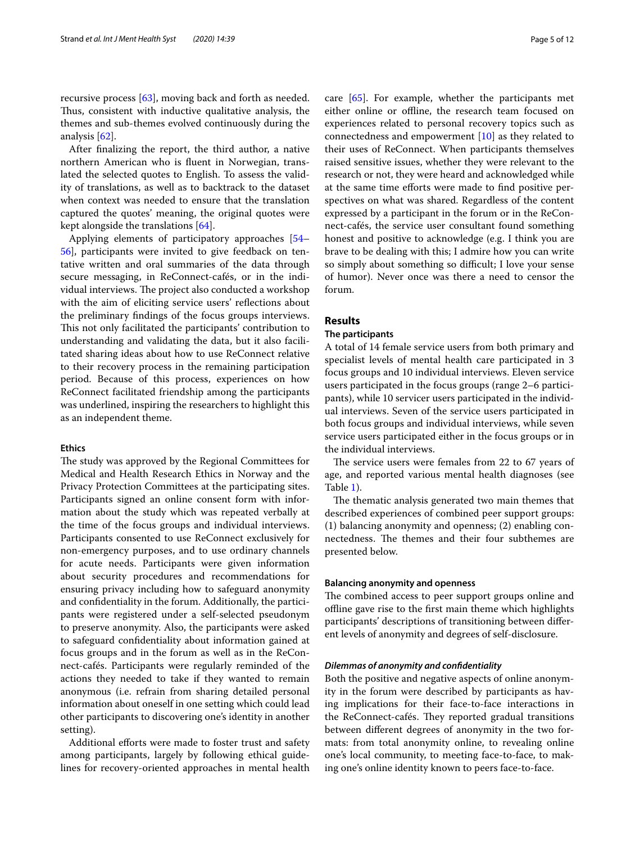recursive process [\[63](#page-11-25)], moving back and forth as needed. Thus, consistent with inductive qualitative analysis, the themes and sub-themes evolved continuously during the analysis [[62\]](#page-11-24).

After fnalizing the report, the third author, a native northern American who is fuent in Norwegian, translated the selected quotes to English. To assess the validity of translations, as well as to backtrack to the dataset when context was needed to ensure that the translation captured the quotes' meaning, the original quotes were kept alongside the translations [[64](#page-11-26)].

Applying elements of participatory approaches [[54–](#page-11-18) [56\]](#page-11-27), participants were invited to give feedback on tentative written and oral summaries of the data through secure messaging, in ReConnect-cafés, or in the individual interviews. The project also conducted a workshop with the aim of eliciting service users' reflections about the preliminary fndings of the focus groups interviews. This not only facilitated the participants' contribution to understanding and validating the data, but it also facilitated sharing ideas about how to use ReConnect relative to their recovery process in the remaining participation period. Because of this process, experiences on how ReConnect facilitated friendship among the participants was underlined, inspiring the researchers to highlight this as an independent theme.

#### <span id="page-4-0"></span>**Ethics**

The study was approved by the Regional Committees for Medical and Health Research Ethics in Norway and the Privacy Protection Committees at the participating sites. Participants signed an online consent form with information about the study which was repeated verbally at the time of the focus groups and individual interviews. Participants consented to use ReConnect exclusively for non-emergency purposes, and to use ordinary channels for acute needs. Participants were given information about security procedures and recommendations for ensuring privacy including how to safeguard anonymity and confdentiality in the forum. Additionally, the participants were registered under a self-selected pseudonym to preserve anonymity. Also, the participants were asked to safeguard confdentiality about information gained at focus groups and in the forum as well as in the ReConnect-cafés. Participants were regularly reminded of the actions they needed to take if they wanted to remain anonymous (i.e. refrain from sharing detailed personal information about oneself in one setting which could lead other participants to discovering one's identity in another setting).

Additional efforts were made to foster trust and safety among participants, largely by following ethical guidelines for recovery-oriented approaches in mental health care [\[65](#page-11-28)]. For example, whether the participants met either online or offline, the research team focused on experiences related to personal recovery topics such as connectedness and empowerment [[10](#page-10-6)] as they related to their uses of ReConnect. When participants themselves raised sensitive issues, whether they were relevant to the research or not, they were heard and acknowledged while at the same time eforts were made to fnd positive perspectives on what was shared. Regardless of the content expressed by a participant in the forum or in the ReConnect-cafés, the service user consultant found something honest and positive to acknowledge (e.g. I think you are brave to be dealing with this; I admire how you can write so simply about something so difficult; I love your sense of humor). Never once was there a need to censor the forum.

# **Results**

# **The participants**

A total of 14 female service users from both primary and specialist levels of mental health care participated in 3 focus groups and 10 individual interviews. Eleven service users participated in the focus groups (range 2–6 participants), while 10 servicer users participated in the individual interviews. Seven of the service users participated in both focus groups and individual interviews, while seven service users participated either in the focus groups or in the individual interviews.

The service users were females from 22 to 67 years of age, and reported various mental health diagnoses (see Table [1](#page-5-0)).

The thematic analysis generated two main themes that described experiences of combined peer support groups: (1) balancing anonymity and openness; (2) enabling connectedness. The themes and their four subthemes are presented below.

#### **Balancing anonymity and openness**

The combined access to peer support groups online and ofine gave rise to the frst main theme which highlights participants' descriptions of transitioning between diferent levels of anonymity and degrees of self-disclosure.

#### *Dilemmas of anonymity and confdentiality*

Both the positive and negative aspects of online anonymity in the forum were described by participants as having implications for their face-to-face interactions in the ReConnect-cafés. They reported gradual transitions between diferent degrees of anonymity in the two formats: from total anonymity online, to revealing online one's local community, to meeting face-to-face, to making one's online identity known to peers face-to-face.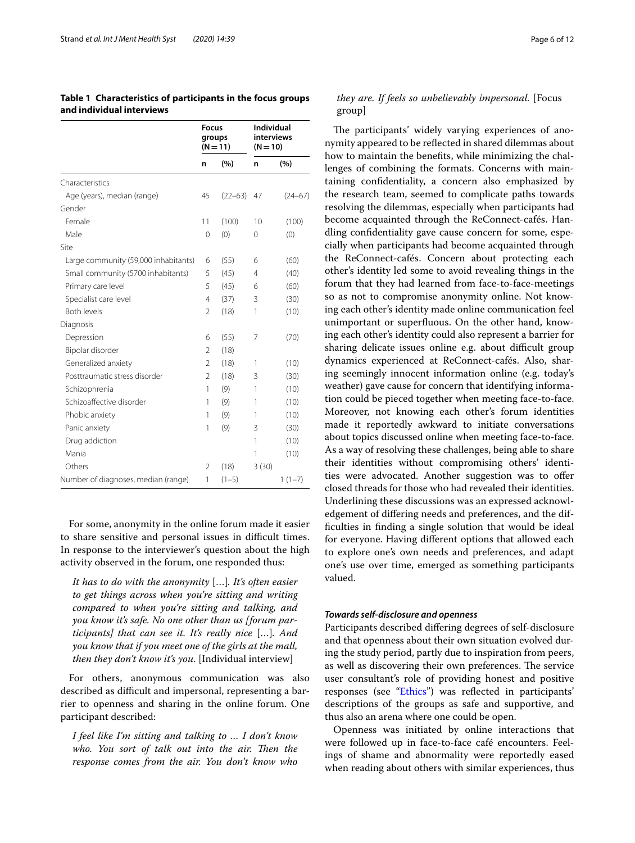<span id="page-5-0"></span>**Table 1 Characteristics of participants in the focus groups and individual interviews**

|                                      | <b>Focus</b><br>groups<br>$(N = 11)$ |             | <b>Individual</b><br>interviews<br>$(N = 10)$ |             |
|--------------------------------------|--------------------------------------|-------------|-----------------------------------------------|-------------|
|                                      | n                                    | (%)         | n                                             | (%)         |
| Characteristics                      |                                      |             |                                               |             |
| Age (years), median (range)          | 45                                   | $(22 - 63)$ | 47                                            | $(24 - 67)$ |
| Gender                               |                                      |             |                                               |             |
| Female                               | 11                                   | (100)       | 10                                            | (100)       |
| Male                                 | 0                                    | (0)         | 0                                             | (0)         |
| Site                                 |                                      |             |                                               |             |
| Large community (59,000 inhabitants) | 6                                    | (55)        | 6                                             | (60)        |
| Small community (5700 inhabitants)   | 5                                    | (45)        | 4                                             | (40)        |
| Primary care level                   | 5                                    | (45)        | 6                                             | (60)        |
| Specialist care level                | $\overline{4}$                       | (37)        | 3                                             | (30)        |
| <b>Both levels</b>                   | $\overline{2}$                       | (18)        | 1                                             | (10)        |
| Diagnosis                            |                                      |             |                                               |             |
| Depression                           | 6                                    | (55)        | 7                                             | (70)        |
| Bipolar disorder                     | $\overline{2}$                       | (18)        |                                               |             |
| Generalized anxiety                  | 2                                    | (18)        | 1                                             | (10)        |
| Posttraumatic stress disorder        | $\overline{2}$                       | (18)        | 3                                             | (30)        |
| Schizophrenia                        | 1                                    | (9)         | 1                                             | (10)        |
| Schizoaffective disorder             | 1                                    | (9)         | 1                                             | (10)        |
| Phobic anxiety                       | 1                                    | (9)         | 1                                             | (10)        |
| Panic anxiety                        | 1                                    | (9)         | 3                                             | (30)        |
| Drug addiction                       |                                      |             | 1                                             | (10)        |
| Mania                                |                                      |             | 1                                             | (10)        |
| Others                               | $\overline{2}$                       | (18)        | 3(30)                                         |             |
| Number of diagnoses, median (range)  | 1                                    | $(1-5)$     |                                               | $1(1-7)$    |

For some, anonymity in the online forum made it easier to share sensitive and personal issues in difficult times. In response to the interviewer's question about the high activity observed in the forum, one responded thus:

*It has to do with the anonymity* […]*. It's often easier to get things across when you're sitting and writing compared to when you're sitting and talking, and you know it's safe. No one other than us [forum participants] that can see it. It's really nice* […]*. And you know that if you meet one of the girls at the mall, then they don't know it's you.* [Individual interview]

For others, anonymous communication was also described as difficult and impersonal, representing a barrier to openness and sharing in the online forum. One participant described:

*I feel like I'm sitting and talking to … I don't know*  who. You sort of talk out into the air. Then the *response comes from the air. You don't know who* 

# *they are. If feels so unbelievably impersonal.* [Focus group]

The participants' widely varying experiences of anonymity appeared to be refected in shared dilemmas about how to maintain the benefts, while minimizing the challenges of combining the formats. Concerns with maintaining confdentiality, a concern also emphasized by the research team, seemed to complicate paths towards resolving the dilemmas, especially when participants had become acquainted through the ReConnect-cafés. Handling confdentiality gave cause concern for some, especially when participants had become acquainted through the ReConnect-cafés. Concern about protecting each other's identity led some to avoid revealing things in the forum that they had learned from face-to-face-meetings so as not to compromise anonymity online. Not knowing each other's identity made online communication feel unimportant or superfuous. On the other hand, knowing each other's identity could also represent a barrier for sharing delicate issues online e.g. about difficult group dynamics experienced at ReConnect-cafés. Also, sharing seemingly innocent information online (e.g. today's weather) gave cause for concern that identifying information could be pieced together when meeting face-to-face. Moreover, not knowing each other's forum identities made it reportedly awkward to initiate conversations about topics discussed online when meeting face-to-face. As a way of resolving these challenges, being able to share their identities without compromising others' identities were advocated. Another suggestion was to ofer closed threads for those who had revealed their identities. Underlining these discussions was an expressed acknowledgement of difering needs and preferences, and the diffculties in fnding a single solution that would be ideal for everyone. Having diferent options that allowed each to explore one's own needs and preferences, and adapt one's use over time, emerged as something participants valued.

# *Towards self‑disclosure and openness*

Participants described difering degrees of self-disclosure and that openness about their own situation evolved during the study period, partly due to inspiration from peers, as well as discovering their own preferences. The service user consultant's role of providing honest and positive responses (see ["Ethics](#page-4-0)") was refected in participants' descriptions of the groups as safe and supportive, and thus also an arena where one could be open.

Openness was initiated by online interactions that were followed up in face-to-face café encounters. Feelings of shame and abnormality were reportedly eased when reading about others with similar experiences, thus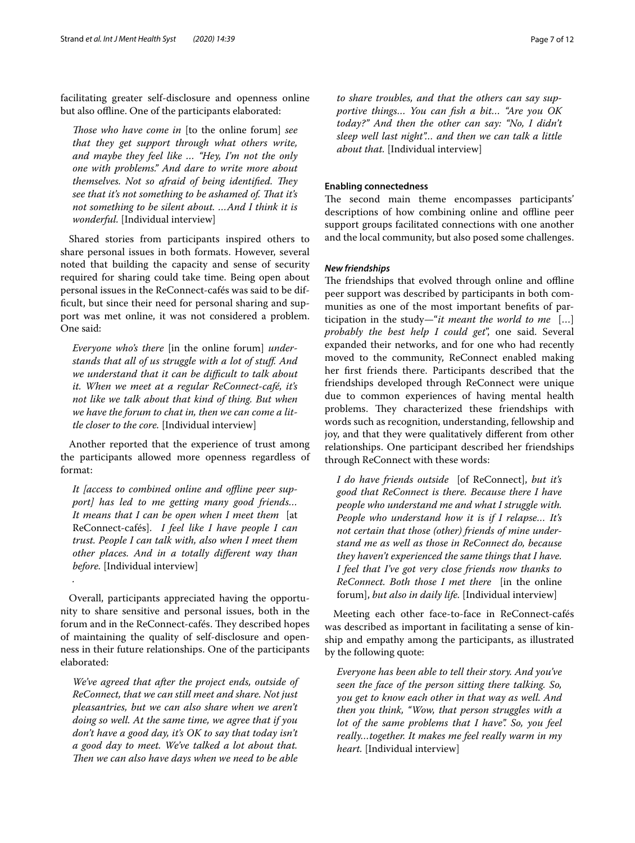facilitating greater self-disclosure and openness online but also offline. One of the participants elaborated:

*Those who have come in* [to the online forum] *see that they get support through what others write, and maybe they feel like … "Hey, I'm not the only one with problems." And dare to write more about*  themselves. Not so afraid of being identified. They *see that it's not something to be ashamed of. Tat it's not something to be silent about. …And I think it is wonderful.* [Individual interview]

Shared stories from participants inspired others to share personal issues in both formats. However, several noted that building the capacity and sense of security required for sharing could take time. Being open about personal issues in the ReConnect-cafés was said to be difficult, but since their need for personal sharing and support was met online, it was not considered a problem. One said:

*Everyone who's there* [in the online forum] *understands that all of us struggle with a lot of stuf. And we understand that it can be difcult to talk about it. When we meet at a regular ReConnect*-*café, it's not like we talk about that kind of thing. But when we have the forum to chat in, then we can come a little closer to the core.* [Individual interview]

Another reported that the experience of trust among the participants allowed more openness regardless of format:

*It [access to combined online and ofine peer support] has led to me getting many good friends… It means that I can be open when I meet them* [at ReConnect-cafés]. *I feel like I have people I can trust. People I can talk with, also when I meet them other places. And in a totally diferent way than before.* [Individual interview]

Overall, participants appreciated having the opportunity to share sensitive and personal issues, both in the forum and in the ReConnect-cafés. They described hopes of maintaining the quality of self-disclosure and openness in their future relationships. One of the participants elaborated:

*.*

*We've agreed that after the project ends, outside of ReConnect, that we can still meet and share. Not just pleasantries, but we can also share when we aren't doing so well. At the same time, we agree that if you don't have a good day, it's OK to say that today isn't a good day to meet. We've talked a lot about that. Then we can also have days when we need to be able* 

*to share troubles, and that the others can say supportive things… You can fsh a bit… "Are you OK today?" And then the other can say: "No, I didn't sleep well last night"… and then we can talk a little about that.* [Individual interview]

# **Enabling connectedness**

The second main theme encompasses participants' descriptions of how combining online and ofine peer support groups facilitated connections with one another and the local community, but also posed some challenges.

#### *New friendships*

The friendships that evolved through online and offline peer support was described by participants in both communities as one of the most important benefts of participation in the study—"*it meant the world to me* […] *probably the best help I could get*", one said. Several expanded their networks, and for one who had recently moved to the community, ReConnect enabled making her frst friends there. Participants described that the friendships developed through ReConnect were unique due to common experiences of having mental health problems. They characterized these friendships with words such as recognition, understanding, fellowship and joy, and that they were qualitatively diferent from other relationships. One participant described her friendships through ReConnect with these words:

*I do have friends outside* [of ReConnect], *but it's good that ReConnect is there. Because there I have people who understand me and what I struggle with. People who understand how it is if I relapse… It's not certain that those (other) friends of mine understand me as well as those in ReConnect do, because they haven't experienced the same things that I have. I feel that I've got very close friends now thanks to ReConnect. Both those I met there* [in the online forum], *but also in daily life.* [Individual interview]

Meeting each other face-to-face in ReConnect-cafés was described as important in facilitating a sense of kinship and empathy among the participants, as illustrated by the following quote:

*Everyone has been able to tell their story. And you've seen the face of the person sitting there talking. So, you get to know each other in that way as well. And then you think, "Wow, that person struggles with a lot of the same problems that I have". So, you feel really…together. It makes me feel really warm in my heart.* [Individual interview]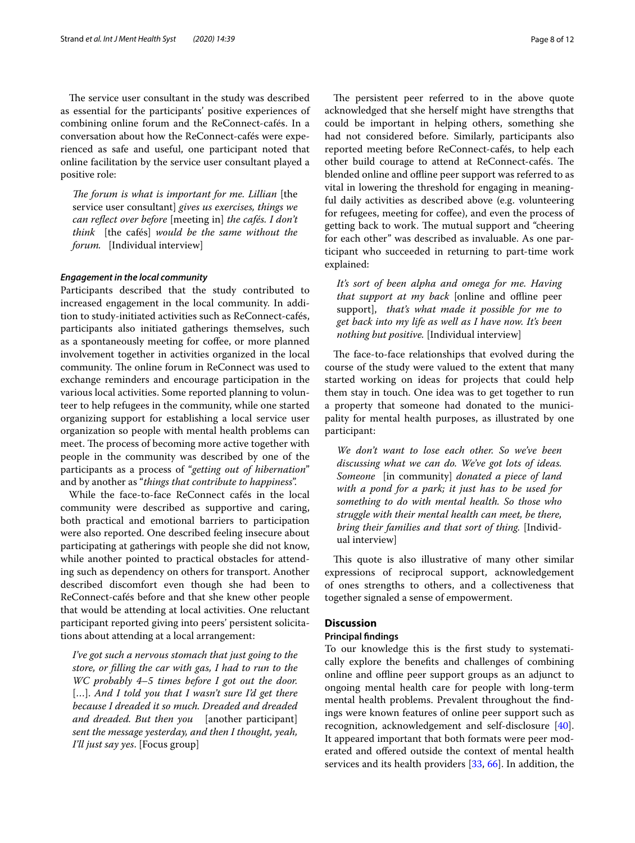The service user consultant in the study was described as essential for the participants' positive experiences of combining online forum and the ReConnect-cafés. In a conversation about how the ReConnect-cafés were experienced as safe and useful, one participant noted that online facilitation by the service user consultant played a positive role:

*The forum is what is important for me. Lillian* [the service user consultant] *gives us exercises, things we can refect over before* [meeting in] *the cafés. I don't think* [the cafés] *would be the same without the forum.* [Individual interview]

## *Engagement in the local community*

Participants described that the study contributed to increased engagement in the local community. In addition to study-initiated activities such as ReConnect-cafés, participants also initiated gatherings themselves, such as a spontaneously meeting for coffee, or more planned involvement together in activities organized in the local community. The online forum in ReConnect was used to exchange reminders and encourage participation in the various local activities. Some reported planning to volunteer to help refugees in the community, while one started organizing support for establishing a local service user organization so people with mental health problems can meet. The process of becoming more active together with people in the community was described by one of the participants as a process of "*getting out of hibernation*" and by another as "*things that contribute to happiness*".

While the face-to-face ReConnect cafés in the local community were described as supportive and caring, both practical and emotional barriers to participation were also reported. One described feeling insecure about participating at gatherings with people she did not know, while another pointed to practical obstacles for attending such as dependency on others for transport. Another described discomfort even though she had been to ReConnect-cafés before and that she knew other people that would be attending at local activities. One reluctant participant reported giving into peers' persistent solicitations about attending at a local arrangement:

*I've got such a nervous stomach that just going to the store, or flling the car with gas, I had to run to the WC probably 4*–*5 times before I got out the door.* [...]. *And I told you that I wasn't sure I'd get there because I dreaded it so much. Dreaded and dreaded and dreaded. But then you* [another participant] *sent the message yesterday, and then I thought, yeah, I'll just say yes*. [Focus group]

The persistent peer referred to in the above quote acknowledged that she herself might have strengths that could be important in helping others, something she had not considered before. Similarly, participants also reported meeting before ReConnect-cafés, to help each other build courage to attend at ReConnect-cafés. The blended online and offline peer support was referred to as vital in lowering the threshold for engaging in meaningful daily activities as described above (e.g. volunteering for refugees, meeting for coffee), and even the process of getting back to work. The mutual support and "cheering for each other" was described as invaluable. As one participant who succeeded in returning to part-time work explained:

*It's sort of been alpha and omega for me. Having that support at my back* [online and offline peer support], *that's what made it possible for me to get back into my life as well as I have now. It's been nothing but positive.* [Individual interview]

The face-to-face relationships that evolved during the course of the study were valued to the extent that many started working on ideas for projects that could help them stay in touch. One idea was to get together to run a property that someone had donated to the municipality for mental health purposes, as illustrated by one participant:

*We don't want to lose each other. So we've been discussing what we can do. We've got lots of ideas. Someone* [in community] *donated a piece of land with a pond for a park; it just has to be used for something to do with mental health. So those who struggle with their mental health can meet, be there, bring their families and that sort of thing.* [Individual interview]

This quote is also illustrative of many other similar expressions of reciprocal support, acknowledgement of ones strengths to others, and a collectiveness that together signaled a sense of empowerment.

#### **Discussion**

# **Principal fndings**

To our knowledge this is the frst study to systematically explore the benefts and challenges of combining online and offline peer support groups as an adjunct to ongoing mental health care for people with long-term mental health problems. Prevalent throughout the fndings were known features of online peer support such as recognition, acknowledgement and self-disclosure [\[40](#page-11-6)]. It appeared important that both formats were peer moderated and ofered outside the context of mental health services and its health providers [[33](#page-10-25), [66](#page-11-29)]. In addition, the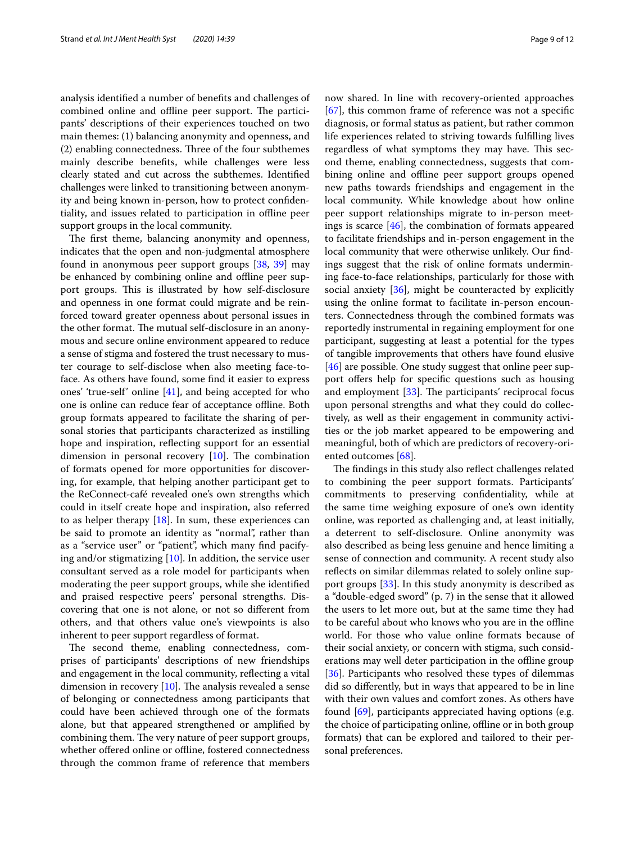analysis identifed a number of benefts and challenges of combined online and offline peer support. The participants' descriptions of their experiences touched on two main themes: (1) balancing anonymity and openness, and (2) enabling connectedness. Three of the four subthemes mainly describe benefts, while challenges were less clearly stated and cut across the subthemes. Identifed challenges were linked to transitioning between anonymity and being known in-person, how to protect confdentiality, and issues related to participation in ofine peer support groups in the local community.

The first theme, balancing anonymity and openness, indicates that the open and non-judgmental atmosphere found in anonymous peer support groups [[38,](#page-11-4) [39\]](#page-11-5) may be enhanced by combining online and offline peer support groups. This is illustrated by how self-disclosure and openness in one format could migrate and be reinforced toward greater openness about personal issues in the other format. The mutual self-disclosure in an anonymous and secure online environment appeared to reduce a sense of stigma and fostered the trust necessary to muster courage to self-disclose when also meeting face-toface. As others have found, some fnd it easier to express ones' 'true-self' online [[41\]](#page-11-7), and being accepted for who one is online can reduce fear of acceptance offline. Both group formats appeared to facilitate the sharing of personal stories that participants characterized as instilling hope and inspiration, refecting support for an essential dimension in personal recovery  $[10]$  $[10]$ . The combination of formats opened for more opportunities for discovering, for example, that helping another participant get to the ReConnect-café revealed one's own strengths which could in itself create hope and inspiration, also referred to as helper therapy [[18](#page-10-12)]. In sum, these experiences can be said to promote an identity as "normal", rather than as a "service user" or "patient", which many fnd pacifying and/or stigmatizing [\[10](#page-10-6)]. In addition, the service user consultant served as a role model for participants when moderating the peer support groups, while she identifed and praised respective peers' personal strengths. Discovering that one is not alone, or not so diferent from others, and that others value one's viewpoints is also inherent to peer support regardless of format.

The second theme, enabling connectedness, comprises of participants' descriptions of new friendships and engagement in the local community, refecting a vital dimension in recovery  $[10]$  $[10]$ . The analysis revealed a sense of belonging or connectedness among participants that could have been achieved through one of the formats alone, but that appeared strengthened or amplifed by combining them. The very nature of peer support groups, whether offered online or offline, fostered connectedness through the common frame of reference that members now shared. In line with recovery-oriented approaches [[67\]](#page-11-30), this common frame of reference was not a specifc diagnosis, or formal status as patient, but rather common life experiences related to striving towards fulflling lives regardless of what symptoms they may have. This second theme, enabling connectedness, suggests that combining online and offline peer support groups opened new paths towards friendships and engagement in the local community. While knowledge about how online peer support relationships migrate to in-person meetings is scarce [[46\]](#page-11-12), the combination of formats appeared to facilitate friendships and in-person engagement in the local community that were otherwise unlikely. Our fndings suggest that the risk of online formats undermining face-to-face relationships, particularly for those with social anxiety [[36\]](#page-11-2), might be counteracted by explicitly using the online format to facilitate in-person encounters. Connectedness through the combined formats was reportedly instrumental in regaining employment for one participant, suggesting at least a potential for the types of tangible improvements that others have found elusive [[46\]](#page-11-12) are possible. One study suggest that online peer support offers help for specific questions such as housing and employment  $[33]$ . The participants' reciprocal focus upon personal strengths and what they could do collectively, as well as their engagement in community activities or the job market appeared to be empowering and meaningful, both of which are predictors of recovery-oriented outcomes [\[68\]](#page-11-31).

The findings in this study also reflect challenges related to combining the peer support formats. Participants' commitments to preserving confdentiality, while at the same time weighing exposure of one's own identity online, was reported as challenging and, at least initially, a deterrent to self-disclosure. Online anonymity was also described as being less genuine and hence limiting a sense of connection and community. A recent study also reflects on similar dilemmas related to solely online support groups [\[33](#page-10-25)]. In this study anonymity is described as a "double-edged sword" (p. 7) in the sense that it allowed the users to let more out, but at the same time they had to be careful about who knows who you are in the ofine world. For those who value online formats because of their social anxiety, or concern with stigma, such considerations may well deter participation in the offline group [[36\]](#page-11-2). Participants who resolved these types of dilemmas did so diferently, but in ways that appeared to be in line with their own values and comfort zones. As others have found [\[69](#page-11-32)], participants appreciated having options (e.g. the choice of participating online, offline or in both group formats) that can be explored and tailored to their personal preferences.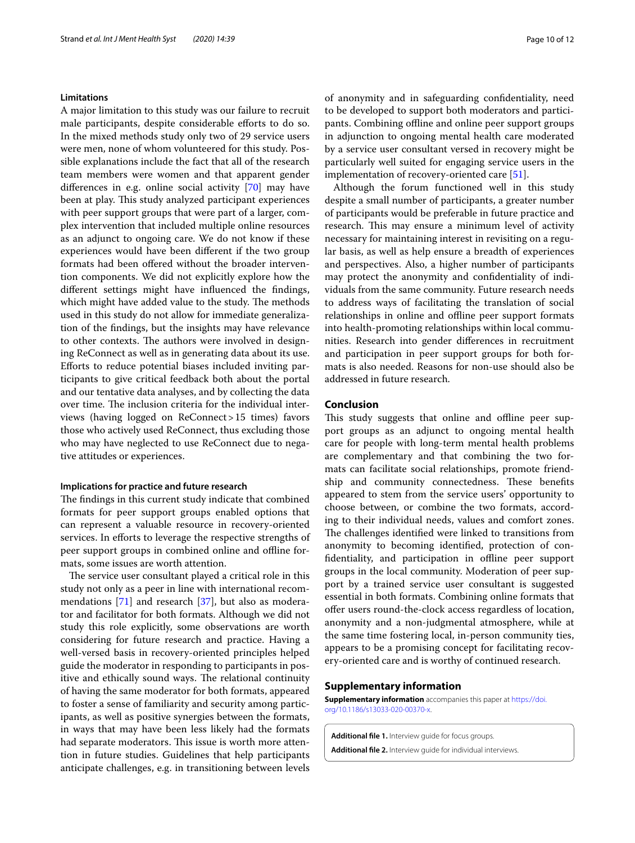#### **Limitations**

A major limitation to this study was our failure to recruit male participants, despite considerable eforts to do so. In the mixed methods study only two of 29 service users were men, none of whom volunteered for this study. Possible explanations include the fact that all of the research team members were women and that apparent gender diferences in e.g. online social activity [[70](#page-11-33)] may have been at play. This study analyzed participant experiences with peer support groups that were part of a larger, complex intervention that included multiple online resources as an adjunct to ongoing care. We do not know if these experiences would have been diferent if the two group formats had been offered without the broader intervention components. We did not explicitly explore how the diferent settings might have infuenced the fndings, which might have added value to the study. The methods used in this study do not allow for immediate generalization of the fndings, but the insights may have relevance to other contexts. The authors were involved in designing ReConnect as well as in generating data about its use. Eforts to reduce potential biases included inviting participants to give critical feedback both about the portal and our tentative data analyses, and by collecting the data over time. The inclusion criteria for the individual interviews (having logged on ReConnect>15 times) favors those who actively used ReConnect, thus excluding those who may have neglected to use ReConnect due to negative attitudes or experiences.

## **Implications for practice and future research**

The findings in this current study indicate that combined formats for peer support groups enabled options that can represent a valuable resource in recovery-oriented services. In eforts to leverage the respective strengths of peer support groups in combined online and offline formats, some issues are worth attention.

The service user consultant played a critical role in this study not only as a peer in line with international recommendations [[71](#page-11-34)] and research [\[37\]](#page-11-3), but also as moderator and facilitator for both formats. Although we did not study this role explicitly, some observations are worth considering for future research and practice. Having a well-versed basis in recovery-oriented principles helped guide the moderator in responding to participants in positive and ethically sound ways. The relational continuity of having the same moderator for both formats, appeared to foster a sense of familiarity and security among participants, as well as positive synergies between the formats, in ways that may have been less likely had the formats had separate moderators. This issue is worth more attention in future studies. Guidelines that help participants anticipate challenges, e.g. in transitioning between levels of anonymity and in safeguarding confdentiality, need to be developed to support both moderators and participants. Combining offline and online peer support groups in adjunction to ongoing mental health care moderated by a service user consultant versed in recovery might be particularly well suited for engaging service users in the implementation of recovery-oriented care [\[51\]](#page-11-15).

Although the forum functioned well in this study despite a small number of participants, a greater number of participants would be preferable in future practice and research. This may ensure a minimum level of activity necessary for maintaining interest in revisiting on a regular basis, as well as help ensure a breadth of experiences and perspectives. Also, a higher number of participants may protect the anonymity and confdentiality of individuals from the same community. Future research needs to address ways of facilitating the translation of social relationships in online and offline peer support formats into health-promoting relationships within local communities. Research into gender diferences in recruitment and participation in peer support groups for both formats is also needed. Reasons for non-use should also be addressed in future research.

# **Conclusion**

This study suggests that online and offline peer support groups as an adjunct to ongoing mental health care for people with long-term mental health problems are complementary and that combining the two formats can facilitate social relationships, promote friendship and community connectedness. These benefits appeared to stem from the service users' opportunity to choose between, or combine the two formats, according to their individual needs, values and comfort zones. The challenges identified were linked to transitions from anonymity to becoming identifed, protection of confidentiality, and participation in offline peer support groups in the local community. Moderation of peer support by a trained service user consultant is suggested essential in both formats. Combining online formats that ofer users round-the-clock access regardless of location, anonymity and a non-judgmental atmosphere, while at the same time fostering local, in-person community ties, appears to be a promising concept for facilitating recovery-oriented care and is worthy of continued research.

## **Supplementary information**

**Supplementary information** accompanies this paper at [https://doi.](https://doi.org/10.1186/s13033-020-00370-x) [org/10.1186/s13033-020-00370-x.](https://doi.org/10.1186/s13033-020-00370-x)

<span id="page-9-1"></span><span id="page-9-0"></span>**Additional fle 1.** Interview guide for focus groups. **Additional fle 2.** Interview guide for individual interviews.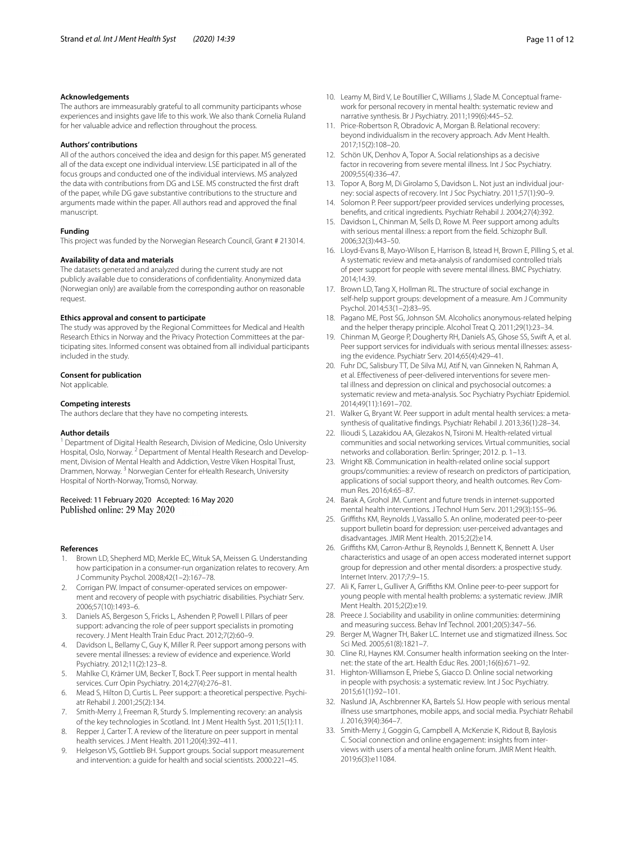#### **Acknowledgements**

The authors are immeasurably grateful to all community participants whose experiences and insights gave life to this work. We also thank Cornelia Ruland for her valuable advice and refection throughout the process.

#### **Authors' contributions**

All of the authors conceived the idea and design for this paper. MS generated all of the data except one individual interview. LSE participated in all of the focus groups and conducted one of the individual interviews. MS analyzed the data with contributions from DG and LSE. MS constructed the frst draft of the paper, while DG gave substantive contributions to the structure and arguments made within the paper. All authors read and approved the fnal manuscript.

#### **Funding**

This project was funded by the Norwegian Research Council, Grant # 213014.

#### **Availability of data and materials**

The datasets generated and analyzed during the current study are not publicly available due to considerations of confdentiality. Anonymized data (Norwegian only) are available from the corresponding author on reasonable request.

#### **Ethics approval and consent to participate**

The study was approved by the Regional Committees for Medical and Health Research Ethics in Norway and the Privacy Protection Committees at the participating sites. Informed consent was obtained from all individual participants included in the study.

#### **Consent for publication**

Not applicable.

#### **Competing interests**

The authors declare that they have no competing interests.

#### **Author details**

<sup>1</sup> Department of Digital Health Research, Division of Medicine, Oslo University Hospital, Oslo, Norway. <sup>2</sup> Department of Mental Health Research and Development, Division of Mental Health and Addiction, Vestre Viken Hospital Trust, Drammen, Norway. 3 Norwegian Center for eHealth Research, University Hospital of North-Norway, Tromsö, Norway.

#### Received: 11 February 2020 Accepted: 16 May 2020 Published online: 29 May 2020

#### **References**

- <span id="page-10-0"></span>Brown LD, Shepherd MD, Merkle EC, Wituk SA, Meissen G. Understanding how participation in a consumer-run organization relates to recovery. Am J Community Psychol. 2008;42(1–2):167–78.
- 2. Corrigan PW. Impact of consumer-operated services on empowerment and recovery of people with psychiatric disabilities. Psychiatr Serv. 2006;57(10):1493–6.
- 3. Daniels AS, Bergeson S, Fricks L, Ashenden P, Powell I. Pillars of peer support: advancing the role of peer support specialists in promoting recovery. J Ment Health Train Educ Pract. 2012;7(2):60–9.
- <span id="page-10-3"></span>4. Davidson L, Bellamy C, Guy K, Miller R. Peer support among persons with severe mental illnesses: a review of evidence and experience. World Psychiatry. 2012;11(2):123–8.
- 5. Mahlke CI, Krämer UM, Becker T, Bock T. Peer support in mental health services. Curr Opin Psychiatry. 2014;27(4):276–81.
- <span id="page-10-2"></span>6. Mead S, Hilton D, Curtis L. Peer support: a theoretical perspective. Psychiatr Rehabil J. 2001;25(2):134.
- <span id="page-10-1"></span>7. Smith-Merry J, Freeman R, Sturdy S. Implementing recovery: an analysis of the key technologies in Scotland. Int J Ment Health Syst. 2011;5(1):11.
- <span id="page-10-4"></span>8. Repper J, Carter T. A review of the literature on peer support in mental health services. J Ment Health. 2011;20(4):392–411.
- <span id="page-10-5"></span>9. Helgeson VS, Gottlieb BH. Support groups. Social support measurement and intervention: a guide for health and social scientists. 2000:221–45.
- <span id="page-10-6"></span>10. Leamy M, Bird V, Le Boutillier C, Williams J, Slade M. Conceptual framework for personal recovery in mental health: systematic review and narrative synthesis. Br J Psychiatry. 2011;199(6):445–52.
- <span id="page-10-7"></span>11. Price-Robertson R, Obradovic A, Morgan B. Relational recovery: beyond individualism in the recovery approach. Adv Ment Health. 2017;15(2):108–20.
- 12. Schön UK, Denhov A, Topor A. Social relationships as a decisive factor in recovering from severe mental illness. Int J Soc Psychiatry. 2009;55(4):336–47.
- <span id="page-10-8"></span>13. Topor A, Borg M, Di Girolamo S, Davidson L. Not just an individual journey: social aspects of recovery. Int J Soc Psychiatry. 2011;57(1):90–9.
- <span id="page-10-9"></span>14. Solomon P. Peer support/peer provided services underlying processes, benefts, and critical ingredients. Psychiatr Rehabil J. 2004;27(4):392.
- 15. Davidson L, Chinman M, Sells D, Rowe M. Peer support among adults with serious mental illness: a report from the feld. Schizophr Bull. 2006;32(3):443–50.
- <span id="page-10-10"></span>16. Lloyd-Evans B, Mayo-Wilson E, Harrison B, Istead H, Brown E, Pilling S, et al. A systematic review and meta-analysis of randomised controlled trials of peer support for people with severe mental illness. BMC Psychiatry. 2014;14:39.
- <span id="page-10-11"></span>17. Brown LD, Tang X, Hollman RL. The structure of social exchange in self-help support groups: development of a measure. Am J Community Psychol. 2014;53(1–2):83–95.
- <span id="page-10-12"></span>18. Pagano ME, Post SG, Johnson SM. Alcoholics anonymous-related helping and the helper therapy principle. Alcohol Treat Q. 2011;29(1):23–34.
- <span id="page-10-13"></span>19. Chinman M, George P, Dougherty RH, Daniels AS, Ghose SS, Swift A, et al. Peer support services for individuals with serious mental illnesses: assessing the evidence. Psychiatr Serv. 2014;65(4):429–41.
- <span id="page-10-14"></span>20. Fuhr DC, Salisbury TT, De Silva MJ, Atif N, van Ginneken N, Rahman A, et al. Efectiveness of peer-delivered interventions for severe mental illness and depression on clinical and psychosocial outcomes: a systematic review and meta-analysis. Soc Psychiatry Psychiatr Epidemiol. 2014;49(11):1691–702.
- <span id="page-10-15"></span>21. Walker G, Bryant W. Peer support in adult mental health services: a metasynthesis of qualitative fndings. Psychiatr Rehabil J. 2013;36(1):28–34.
- <span id="page-10-16"></span>22. Ilioudi S, Lazakidou AA, Glezakos N, Tsironi M. Health-related virtual communities and social networking services. Virtual communities, social networks and collaboration. Berlin: Springer; 2012. p. 1–13.
- <span id="page-10-17"></span>23. Wright KB. Communication in health-related online social support groups/communities: a review of research on predictors of participation, applications of social support theory, and health outcomes. Rev Commun Res. 2016;4:65–87.
- <span id="page-10-18"></span>24. Barak A, Grohol JM. Current and future trends in internet-supported mental health interventions. J Technol Hum Serv. 2011;29(3):155–96.
- <span id="page-10-19"></span>25. Grifths KM, Reynolds J, Vassallo S. An online, moderated peer-to-peer support bulletin board for depression: user-perceived advantages and disadvantages. JMIR Ment Health. 2015;2(2):e14.
- 26. Grifths KM, Carron-Arthur B, Reynolds J, Bennett K, Bennett A. User characteristics and usage of an open access moderated internet support group for depression and other mental disorders: a prospective study. Internet Interv. 2017;7:9–15.
- <span id="page-10-20"></span>27. Ali K, Farrer L, Gulliver A, Griffiths KM. Online peer-to-peer support for young people with mental health problems: a systematic review. JMIR Ment Health. 2015;2(2):e19.
- <span id="page-10-21"></span>28. Preece J. Sociability and usability in online communities: determining and measuring success. Behav Inf Technol. 2001;20(5):347–56.
- <span id="page-10-22"></span>29. Berger M, Wagner TH, Baker LC. Internet use and stigmatized illness. Soc Sci Med. 2005;61(8):1821–7.
- <span id="page-10-23"></span>30. Cline RJ, Haynes KM. Consumer health information seeking on the Internet: the state of the art. Health Educ Res. 2001;16(6):671–92.
- <span id="page-10-24"></span>31. Highton-Williamson E, Priebe S, Giacco D. Online social networking in people with psychosis: a systematic review. Int J Soc Psychiatry. 2015;61(1):92–101.
- <span id="page-10-26"></span>32. Naslund JA, Aschbrenner KA, Bartels SJ. How people with serious mental illness use smartphones, mobile apps, and social media. Psychiatr Rehabil J. 2016;39(4):364–7.
- <span id="page-10-25"></span>33. Smith-Merry J, Goggin G, Campbell A, McKenzie K, Ridout B, Baylosis C. Social connection and online engagement: insights from interviews with users of a mental health online forum. JMIR Ment Health. 2019;6(3):e11084.